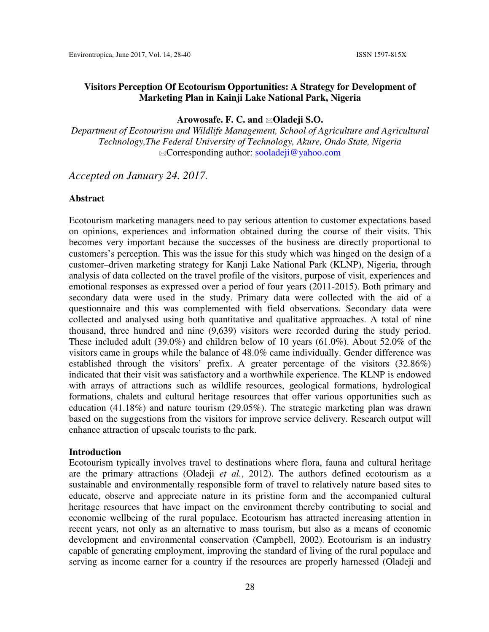#### **Arowosafe. F. C. and Oladeji S.O.**

*Department of Ecotourism and Wildlife Management, School of Agriculture and Agricultural Technology,The Federal University of Technology, Akure, Ondo State, Nigeria*  Corresponding author: sooladeji@yahoo.com

*Accepted on January 24. 2017.* 

#### **Abstract**

Ecotourism marketing managers need to pay serious attention to customer expectations based on opinions, experiences and information obtained during the course of their visits. This becomes very important because the successes of the business are directly proportional to customers's perception. This was the issue for this study which was hinged on the design of a customer–driven marketing strategy for Kanji Lake National Park (KLNP), Nigeria, through analysis of data collected on the travel profile of the visitors, purpose of visit, experiences and emotional responses as expressed over a period of four years (2011-2015). Both primary and secondary data were used in the study. Primary data were collected with the aid of a questionnaire and this was complemented with field observations. Secondary data were collected and analysed using both quantitative and qualitative approaches. A total of nine thousand, three hundred and nine (9,639) visitors were recorded during the study period. These included adult (39.0%) and children below of 10 years (61.0%). About 52.0% of the visitors came in groups while the balance of 48.0% came individually. Gender difference was established through the visitors' prefix. A greater percentage of the visitors  $(32.86\%)$ indicated that their visit was satisfactory and a worthwhile experience. The KLNP is endowed with arrays of attractions such as wildlife resources, geological formations, hydrological formations, chalets and cultural heritage resources that offer various opportunities such as education (41.18%) and nature tourism (29.05%). The strategic marketing plan was drawn based on the suggestions from the visitors for improve service delivery. Research output will enhance attraction of upscale tourists to the park.

#### **Introduction**

Ecotourism typically involves travel to destinations where flora, fauna and cultural heritage are the primary attractions (Oladeji *et al.*, 2012). The authors defined ecotourism as a sustainable and environmentally responsible form of travel to relatively nature based sites to educate, observe and appreciate nature in its pristine form and the accompanied cultural heritage resources that have impact on the environment thereby contributing to social and economic wellbeing of the rural populace. Ecotourism has attracted increasing attention in recent years, not only as an alternative to mass tourism, but also as a means of economic development and environmental conservation (Campbell, 2002). Ecotourism is an industry capable of generating employment, improving the standard of living of the rural populace and serving as income earner for a country if the resources are properly harnessed (Oladeji and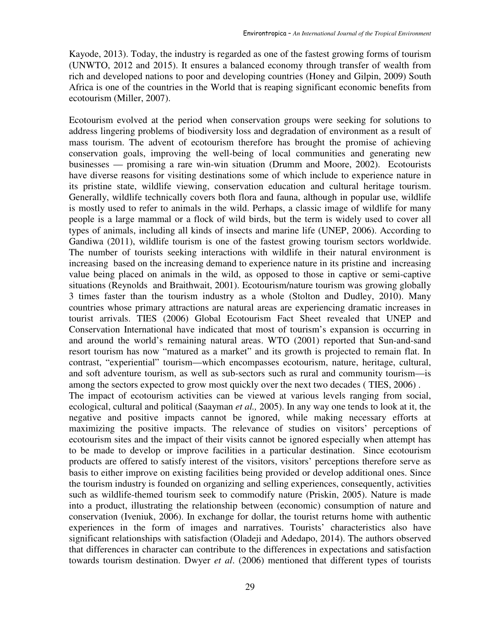Kayode, 2013). Today, the industry is regarded as one of the fastest growing forms of tourism (UNWTO, 2012 and 2015). It ensures a balanced economy through transfer of wealth from rich and developed nations to poor and developing countries (Honey and Gilpin, 2009) South Africa is one of the countries in the World that is reaping significant economic benefits from ecotourism (Miller, 2007).

Ecotourism evolved at the period when conservation groups were seeking for solutions to address lingering problems of biodiversity loss and degradation of environment as a result of mass tourism. The advent of ecotourism therefore has brought the promise of achieving conservation goals, improving the well-being of local communities and generating new businesses — promising a rare win-win situation (Drumm and Moore, 2002). Ecotourists have diverse reasons for visiting destinations some of which include to experience nature in its pristine state, wildlife viewing, conservation education and cultural heritage tourism. Generally, wildlife technically covers both flora and fauna, although in popular use, wildlife is mostly used to refer to animals in the wild. Perhaps, a classic image of wildlife for many people is a large mammal or a flock of wild birds, but the term is widely used to cover all types of animals, including all kinds of insects and marine life (UNEP, 2006). According to Gandiwa (2011), wildlife tourism is one of the fastest growing tourism sectors worldwide. The number of tourists seeking interactions with wildlife in their natural environment is increasing based on the increasing demand to experience nature in its pristine and increasing value being placed on animals in the wild, as opposed to those in captive or semi-captive situations (Reynolds and Braithwait, 2001). Ecotourism/nature tourism was growing globally 3 times faster than the tourism industry as a whole (Stolton and Dudley, 2010). Many countries whose primary attractions are natural areas are experiencing dramatic increases in tourist arrivals. TIES (2006) Global Ecotourism Fact Sheet revealed that UNEP and Conservation International have indicated that most of tourism's expansion is occurring in and around the world's remaining natural areas. WTO (2001) reported that Sun-and-sand resort tourism has now "matured as a market" and its growth is projected to remain flat. In contrast, "experiential" tourism—which encompasses ecotourism, nature, heritage, cultural, and soft adventure tourism, as well as sub-sectors such as rural and community tourism—is among the sectors expected to grow most quickly over the next two decades ( TIES, 2006) . The impact of ecotourism activities can be viewed at various levels ranging from social, ecological, cultural and political (Saayman *et al.,* 2005). In any way one tends to look at it, the negative and positive impacts cannot be ignored, while making necessary efforts at maximizing the positive impacts. The relevance of studies on visitors' perceptions of ecotourism sites and the impact of their visits cannot be ignored especially when attempt has to be made to develop or improve facilities in a particular destination. Since ecotourism products are offered to satisfy interest of the visitors, visitors' perceptions therefore serve as basis to either improve on existing facilities being provided or develop additional ones. Since

the tourism industry is founded on organizing and selling experiences, consequently, activities such as wildlife-themed tourism seek to commodify nature (Priskin, 2005). Nature is made into a product, illustrating the relationship between (economic) consumption of nature and conservation (Iveniuk, 2006). In exchange for dollar, the tourist returns home with authentic experiences in the form of images and narratives. Tourists' characteristics also have significant relationships with satisfaction (Oladeji and Adedapo, 2014). The authors observed that differences in character can contribute to the differences in expectations and satisfaction towards tourism destination. Dwyer *et al*. (2006) mentioned that different types of tourists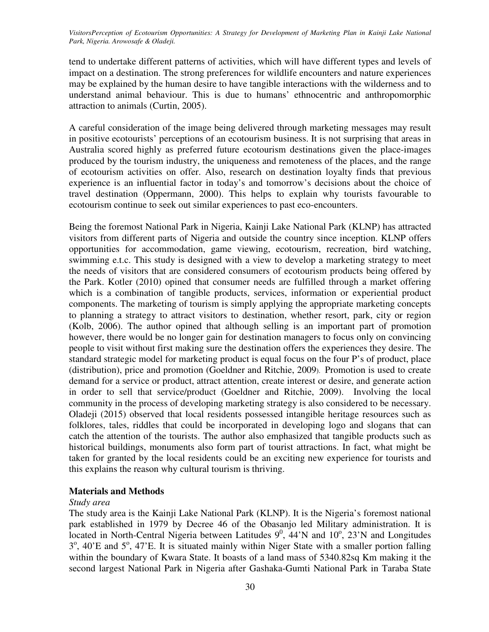tend to undertake different patterns of activities, which will have different types and levels of impact on a destination. The strong preferences for wildlife encounters and nature experiences may be explained by the human desire to have tangible interactions with the wilderness and to understand animal behaviour. This is due to humans' ethnocentric and anthropomorphic attraction to animals (Curtin, 2005).

A careful consideration of the image being delivered through marketing messages may result in positive ecotourists' perceptions of an ecotourism business. It is not surprising that areas in Australia scored highly as preferred future ecotourism destinations given the place-images produced by the tourism industry, the uniqueness and remoteness of the places, and the range of ecotourism activities on offer. Also, research on destination loyalty finds that previous experience is an influential factor in today's and tomorrow's decisions about the choice of travel destination (Oppermann, 2000). This helps to explain why tourists favourable to ecotourism continue to seek out similar experiences to past eco-encounters.

Being the foremost National Park in Nigeria, Kainji Lake National Park (KLNP) has attracted visitors from different parts of Nigeria and outside the country since inception. KLNP offers opportunities for accommodation, game viewing, ecotourism, recreation, bird watching, swimming e.t.c. This study is designed with a view to develop a marketing strategy to meet the needs of visitors that are considered consumers of ecotourism products being offered by the Park. Kotler (2010) opined that consumer needs are fulfilled through a market offering which is a combination of tangible products, services, information or experiential product components. The marketing of tourism is simply applying the appropriate marketing concepts to planning a strategy to attract visitors to destination, whether resort, park, city or region (Kolb, 2006). The author opined that although selling is an important part of promotion however, there would be no longer gain for destination managers to focus only on convincing people to visit without first making sure the destination offers the experiences they desire. The standard strategic model for marketing product is equal focus on the four P's of product, place (distribution), price and promotion (Goeldner and Ritchie, 2009). Promotion is used to create demand for a service or product, attract attention, create interest or desire, and generate action in order to sell that service/product (Goeldner and Ritchie, 2009). Involving the local community in the process of developing marketing strategy is also considered to be necessary. Oladeji (2015) observed that local residents possessed intangible heritage resources such as folklores, tales, riddles that could be incorporated in developing logo and slogans that can catch the attention of the tourists. The author also emphasized that tangible products such as historical buildings, monuments also form part of tourist attractions. In fact, what might be taken for granted by the local residents could be an exciting new experience for tourists and this explains the reason why cultural tourism is thriving.

### **Materials and Methods**

### *Study area*

The study area is the Kainji Lake National Park (KLNP). It is the Nigeria's foremost national park established in 1979 by Decree 46 of the Obasanjo led Military administration. It is located in North-Central Nigeria between Latitudes  $9^0$ , 44'N and  $10^0$ , 23'N and Longitudes 3<sup>°</sup>, 40'E and 5<sup>°</sup>, 47'E. It is situated mainly within Niger State with a smaller portion falling within the boundary of Kwara State. It boasts of a land mass of 5340.82sq Km making it the second largest National Park in Nigeria after Gashaka-Gumti National Park in Taraba State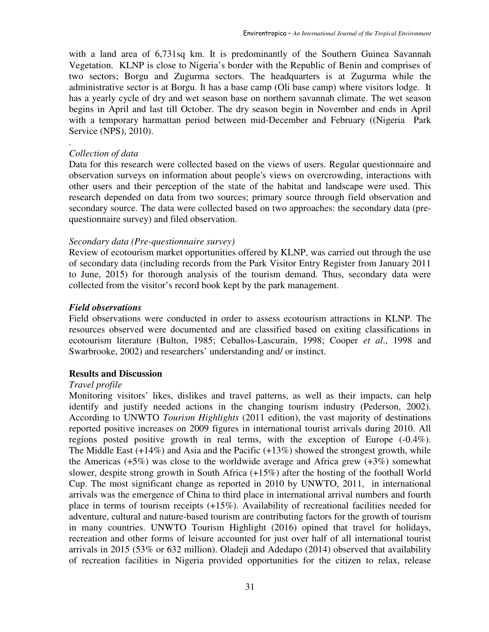with a land area of 6,731sq km. It is predominantly of the Southern Guinea Savannah Vegetation. KLNP is close to Nigeria's border with the Republic of Benin and comprises of two sectors; Borgu and Zugurma sectors. The headquarters is at Zugurma while the administrative sector is at Borgu. It has a base camp (Oli base camp) where visitors lodge. It has a yearly cycle of dry and wet season base on northern savannah climate. The wet season begins in April and last till October. The dry season begin in November and ends in April with a temporary harmattan period between mid-December and February ((Nigeria Park Service (NPS), 2010).

### *Collection of data*

.

Data for this research were collected based on the views of users. Regular questionnaire and observation surveys on information about people's views on overcrowding, interactions with other users and their perception of the state of the habitat and landscape were used. This research depended on data from two sources; primary source through field observation and secondary source. The data were collected based on two approaches: the secondary data (prequestionnaire survey) and filed observation.

## *Secondary data (Pre-questionnaire survey)*

Review of ecotourism market opportunities offered by KLNP, was carried out through the use of secondary data (including records from the Park Visitor Entry Register from January 2011 to June, 2015) for thorough analysis of the tourism demand. Thus, secondary data were collected from the visitor's record book kept by the park management.

## *Field observations*

Field observations were conducted in order to assess ecotourism attractions in KLNP. The resources observed were documented and are classified based on exiting classifications in ecotourism literature (Bulton, 1985; Ceballos-Lascurain, 1998; Cooper *et al*., 1998 and Swarbrooke, 2002) and researchers' understanding and/ or instinct.

### **Results and Discussion**

### *Travel profile*

Monitoring visitors' likes, dislikes and travel patterns, as well as their impacts, can help identify and justify needed actions in the changing tourism industry (Pederson, 2002). According to UNWTO *Tourism Highlights* (2011 edition), the vast majority of destinations reported positive increases on 2009 figures in international tourist arrivals during 2010. All regions posted positive growth in real terms, with the exception of Europe (-0.4%). The Middle East  $(+14%)$  and Asia and the Pacific  $(+13%)$  showed the strongest growth, while the Americas (+5%) was close to the worldwide average and Africa grew  $(+3\%)$  somewhat slower, despite strong growth in South Africa (+15%) after the hosting of the football World Cup. The most significant change as reported in 2010 by UNWTO, 2011, in international arrivals was the emergence of China to third place in international arrival numbers and fourth place in terms of tourism receipts (+15%). Availability of recreational facilities needed for adventure, cultural and nature-based tourism are contributing factors for the growth of tourism in many countries. UNWTO Tourism Highlight (2016) opined that travel for holidays, recreation and other forms of leisure accounted for just over half of all international tourist arrivals in 2015 (53% or 632 million). Oladeji and Adedapo (2014) observed that availability of recreation facilities in Nigeria provided opportunities for the citizen to relax, release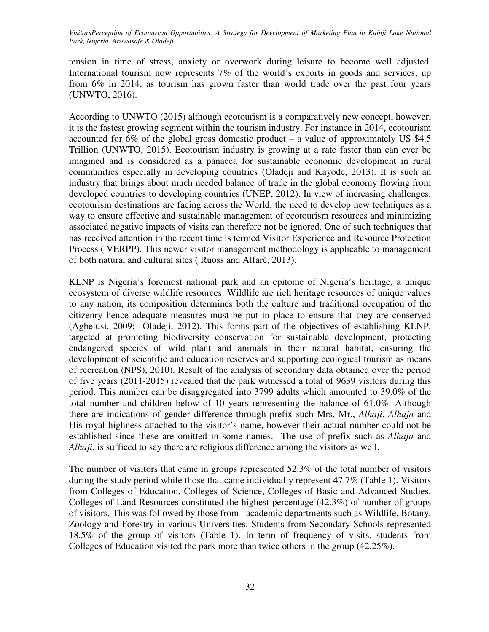tension in time of stress, anxiety or overwork during leisure to become well adjusted. International tourism now represents 7% of the world's exports in goods and services, up from 6% in 2014, as tourism has grown faster than world trade over the past four years (UNWTO, 2016).

According to UNWTO (2015) although ecotourism is a comparatively new concept, however, it is the fastest growing segment within the tourism industry. For instance in 2014, ecotourism accounted for 6% of the global gross domestic product – a value of approximately US \$4.5 Trillion (UNWTO, 2015). Ecotourism industry is growing at a rate faster than can ever be imagined and is considered as a panacea for sustainable economic development in rural communities especially in developing countries (Oladeji and Kayode, 2013). It is such an industry that brings about much needed balance of trade in the global economy flowing from developed countries to developing countries (UNEP, 2012). In view of increasing challenges, ecotourism destinations are facing across the World, the need to develop new techniques as a way to ensure effective and sustainable management of ecotourism resources and minimizing associated negative impacts of visits can therefore not be ignored. One of such techniques that has received attention in the recent time is termed Visitor Experience and Resource Protection Process ( VERPP). This newer visitor management methodology is applicable to management of both natural and cultural sites ( Ruoss and Alfarè, 2013).

KLNP is Nigeria's foremost national park and an epitome of Nigeria's heritage, a unique ecosystem of diverse wildlife resources. Wildlife are rich heritage resources of unique values to any nation, its composition determines both the culture and traditional occupation of the citizenry hence adequate measures must be put in place to ensure that they are conserved (Agbelusi, 2009; Oladeji, 2012). This forms part of the objectives of establishing KLNP, targeted at promoting biodiversity conservation for sustainable development, protecting endangered species of wild plant and animals in their natural habitat, ensuring the development of scientific and education reserves and supporting ecological tourism as means of recreation (NPS), 2010). Result of the analysis of secondary data obtained over the period of five years (2011-2015) revealed that the park witnessed a total of 9639 visitors during this period. This number can be disaggregated into 3799 adults which amounted to 39.0% of the total number and children below of 10 years representing the balance of 61.0%. Although there are indications of gender difference through prefix such Mrs, Mr., *Alhaji*, *Alhaja* and His royal highness attached to the visitor's name, however their actual number could not be established since these are omitted in some names. The use of prefix such as *Alhaja* and *Alhaji*, is sufficed to say there are religious difference among the visitors as well.

The number of visitors that came in groups represented 52.3% of the total number of visitors during the study period while those that came individually represent 47.7% (Table 1). Visitors from Colleges of Education, Colleges of Science, Colleges of Basic and Advanced Studies, Colleges of Land Resources constituted the highest percentage (42.3%) of number of groups of visitors. This was followed by those from academic departments such as Wildlife, Botany, Zoology and Forestry in various Universities. Students from Secondary Schools represented 18.5% of the group of visitors (Table 1). In term of frequency of visits, students from Colleges of Education visited the park more than twice others in the group (42.25%).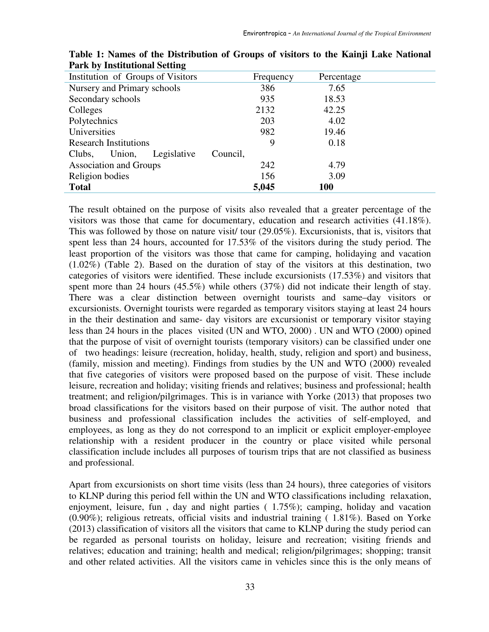| Institution of Groups of Visitors | Frequency | Percentage |  |
|-----------------------------------|-----------|------------|--|
| Nursery and Primary schools       | 386       | 7.65       |  |
| Secondary schools                 | 935       | 18.53      |  |
| Colleges                          | 2132      | 42.25      |  |
| Polytechnics                      | 203       | 4.02       |  |
| Universities                      | 982       | 19.46      |  |
| <b>Research Institutions</b>      | 9         | 0.18       |  |
| Legislative<br>Union,<br>Clubs,   | Council,  |            |  |
| <b>Association and Groups</b>     | 242       | 4.79       |  |
| Religion bodies                   | 156       | 3.09       |  |
| <b>Total</b>                      | 5,045     | <b>100</b> |  |

**Table 1: Names of the Distribution of Groups of visitors to the Kainji Lake National Park by Institutional Setting** 

The result obtained on the purpose of visits also revealed that a greater percentage of the visitors was those that came for documentary, education and research activities (41.18%). This was followed by those on nature visit/ tour (29.05%). Excursionists, that is, visitors that spent less than 24 hours, accounted for 17.53% of the visitors during the study period. The least proportion of the visitors was those that came for camping, holidaying and vacation (1.02%) (Table 2). Based on the duration of stay of the visitors at this destination, two categories of visitors were identified. These include excursionists (17.53%) and visitors that spent more than 24 hours (45.5%) while others (37%) did not indicate their length of stay. There was a clear distinction between overnight tourists and same–day visitors or excursionists. Overnight tourists were regarded as temporary visitors staying at least 24 hours in the their destination and same- day visitors are excursionist or temporary visitor staying less than 24 hours in the places visited (UN and WTO, 2000) . UN and WTO (2000) opined that the purpose of visit of overnight tourists (temporary visitors) can be classified under one of two headings: leisure (recreation, holiday, health, study, religion and sport) and business, (family, mission and meeting). Findings from studies by the UN and WTO (2000) revealed that five categories of visitors were proposed based on the purpose of visit. These include leisure, recreation and holiday; visiting friends and relatives; business and professional; health treatment; and religion/pilgrimages. This is in variance with Yorke (2013) that proposes two broad classifications for the visitors based on their purpose of visit. The author noted that business and professional classification includes the activities of self-employed, and employees, as long as they do not correspond to an implicit or explicit employer-employee relationship with a resident producer in the country or place visited while personal classification include includes all purposes of tourism trips that are not classified as business and professional.

Apart from excursionists on short time visits (less than 24 hours), three categories of visitors to KLNP during this period fell within the UN and WTO classifications including relaxation, enjoyment, leisure, fun , day and night parties ( 1.75%); camping, holiday and vacation (0.90%); religious retreats, official visits and industrial training ( 1.81%). Based on Yorke (2013) classification of visitors all the visitors that came to KLNP during the study period can be regarded as personal tourists on holiday, leisure and recreation; visiting friends and relatives; education and training; health and medical; religion/pilgrimages; shopping; transit and other related activities. All the visitors came in vehicles since this is the only means of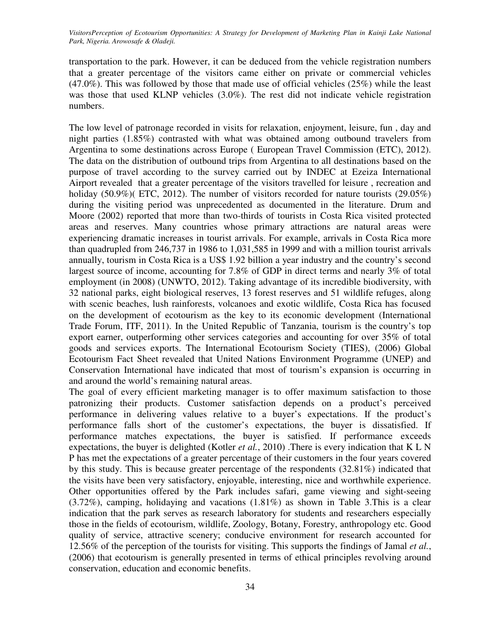transportation to the park. However, it can be deduced from the vehicle registration numbers that a greater percentage of the visitors came either on private or commercial vehicles  $(47.0\%)$ . This was followed by those that made use of official vehicles  $(25\%)$  while the least was those that used KLNP vehicles (3.0%). The rest did not indicate vehicle registration numbers.

The low level of patronage recorded in visits for relaxation, enjoyment, leisure, fun , day and night parties (1.85%) contrasted with what was obtained among outbound travelers from Argentina to some destinations across Europe ( European Travel Commission (ETC), 2012). The data on the distribution of outbound trips from Argentina to all destinations based on the purpose of travel according to the survey carried out by INDEC at Ezeiza International Airport revealed that a greater percentage of the visitors travelled for leisure , recreation and holiday (50.9%)( ETC, 2012). The number of visitors recorded for nature tourists (29.05%) during the visiting period was unprecedented as documented in the literature. Drum and Moore (2002) reported that more than two-thirds of tourists in Costa Rica visited protected areas and reserves. Many countries whose primary attractions are natural areas were experiencing dramatic increases in tourist arrivals. For example, arrivals in Costa Rica more than quadrupled from 246,737 in 1986 to 1,031,585 in 1999 and with a million tourist arrivals annually, tourism in Costa Rica is a US\$ 1.92 billion a year industry and the country's second largest source of income, accounting for 7.8% of GDP in direct terms and nearly 3% of total employment (in 2008) (UNWTO, 2012). Taking advantage of its incredible biodiversity, with 32 national parks, eight biological reserves, 13 forest reserves and 51 wildlife refuges, along with scenic beaches, lush rainforests, volcanoes and exotic wildlife, Costa Rica has focused on the development of ecotourism as the key to its economic development (International Trade Forum, ITF, 2011). In the United Republic of Tanzania, tourism is the country's top export earner, outperforming other services categories and accounting for over 35% of total goods and services exports. The International Ecotourism Society (TIES), (2006) Global Ecotourism Fact Sheet revealed that United Nations Environment Programme (UNEP) and Conservation International have indicated that most of tourism's expansion is occurring in and around the world's remaining natural areas.

The goal of every efficient marketing manager is to offer maximum satisfaction to those patronizing their products. Customer satisfaction depends on a product's perceived performance in delivering values relative to a buyer's expectations. If the product's performance falls short of the customer's expectations, the buyer is dissatisfied. If performance matches expectations, the buyer is satisfied. If performance exceeds expectations, the buyer is delighted (Kotler *et al.*, 2010) .There is every indication that K L N P has met the expectations of a greater percentage of their customers in the four years covered by this study. This is because greater percentage of the respondents (32.81%) indicated that the visits have been very satisfactory, enjoyable, interesting, nice and worthwhile experience. Other opportunities offered by the Park includes safari, game viewing and sight-seeing (3.72%), camping, holidaying and vacations (1.81%) as shown in Table 3.This is a clear indication that the park serves as research laboratory for students and researchers especially those in the fields of ecotourism, wildlife, Zoology, Botany, Forestry, anthropology etc. Good quality of service, attractive scenery; conducive environment for research accounted for 12.56% of the perception of the tourists for visiting. This supports the findings of Jamal *et al.*, (2006) that ecotourism is generally presented in terms of ethical principles revolving around conservation, education and economic benefits.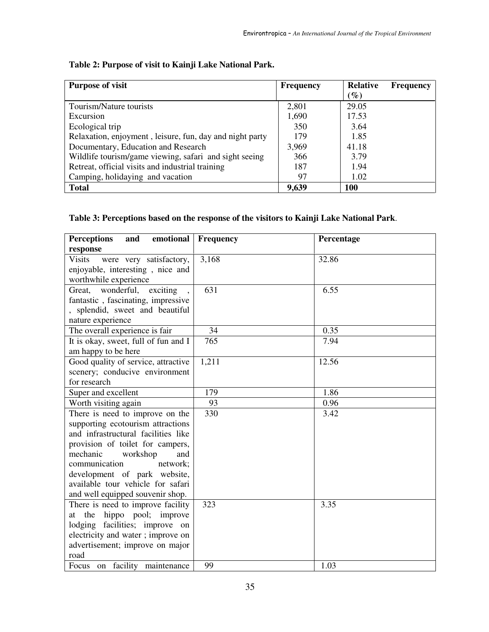| Table 2: Purpose of visit to Kainji Lake National Park. |
|---------------------------------------------------------|
|---------------------------------------------------------|

| <b>Purpose of visit</b>                                  | <b>Frequency</b> | <b>Relative</b> | <b>Frequency</b> |
|----------------------------------------------------------|------------------|-----------------|------------------|
|                                                          |                  | $(\%)$          |                  |
| Tourism/Nature tourists                                  | 2,801            | 29.05           |                  |
| Excursion                                                | 1,690            | 17.53           |                  |
| Ecological trip                                          | 350              | 3.64            |                  |
| Relaxation, enjoyment, leisure, fun, day and night party | 179              | 1.85            |                  |
| Documentary, Education and Research                      | 3,969            | 41.18           |                  |
| Wildlife tourism/game viewing, safari and sight seeing   | 366              | 3.79            |                  |
| Retreat, official visits and industrial training         | 187              | 1.94            |                  |
| Camping, holidaying and vacation                         | 97               | 1.02            |                  |
| <b>Total</b>                                             | 9,639            | 100             |                  |

# **Table 3: Perceptions based on the response of the visitors to Kainji Lake National Park**.

| <b>Perceptions</b><br>emotional<br>and   | Frequency | Percentage |
|------------------------------------------|-----------|------------|
| response                                 |           |            |
| <b>Visits</b><br>were very satisfactory, | 3,168     | 32.86      |
| enjoyable, interesting, nice and         |           |            |
| worthwhile experience                    |           |            |
| Great, wonderful, exciting               | 631       | 6.55       |
| fantastic, fascinating, impressive       |           |            |
| , splendid, sweet and beautiful          |           |            |
| nature experience                        |           |            |
| The overall experience is fair           | 34        | 0.35       |
| It is okay, sweet, full of fun and I     | 765       | 7.94       |
| am happy to be here                      |           |            |
| Good quality of service, attractive      | 1,211     | 12.56      |
| scenery; conducive environment           |           |            |
| for research                             |           |            |
| Super and excellent                      | 179       | 1.86       |
| Worth visiting again                     | 93        | 0.96       |
| There is need to improve on the          | 330       | 3.42       |
| supporting ecotourism attractions        |           |            |
| and infrastructural facilities like      |           |            |
| provision of toilet for campers,         |           |            |
| mechanic<br>workshop<br>and              |           |            |
| communication<br>network;                |           |            |
| development of park website,             |           |            |
| available tour vehicle for safari        |           |            |
| and well equipped souvenir shop.         |           |            |
| There is need to improve facility        | 323       | 3.35       |
| hippo pool; improve<br>at the            |           |            |
| lodging facilities; improve on           |           |            |
| electricity and water; improve on        |           |            |
| advertisement; improve on major          |           |            |
| road                                     |           |            |
| Focus on facility maintenance            | 99        | 1.03       |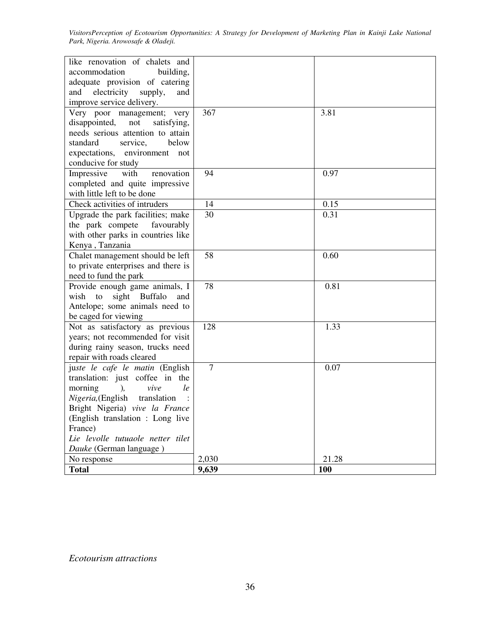| like renovation of chalets and<br>accommodation<br>building,<br>adequate provision of catering<br>electricity supply,<br>and<br>and |                |            |
|-------------------------------------------------------------------------------------------------------------------------------------|----------------|------------|
| improve service delivery.                                                                                                           |                |            |
| Very poor management; very                                                                                                          | 367            | 3.81       |
| disappointed,<br>not<br>satisfying,                                                                                                 |                |            |
| needs serious attention to attain                                                                                                   |                |            |
| standard<br>service,<br>below                                                                                                       |                |            |
| expectations, environment not                                                                                                       |                |            |
| conducive for study                                                                                                                 |                |            |
| Impressive<br>with<br>renovation                                                                                                    | 94             | 0.97       |
| completed and quite impressive                                                                                                      |                |            |
| with little left to be done                                                                                                         |                |            |
| Check activities of intruders                                                                                                       | 14             | 0.15       |
| Upgrade the park facilities; make                                                                                                   | 30             | 0.31       |
| the park compete favourably                                                                                                         |                |            |
| with other parks in countries like                                                                                                  |                |            |
| Kenya, Tanzania                                                                                                                     |                |            |
| Chalet management should be left                                                                                                    | 58             | 0.60       |
| to private enterprises and there is                                                                                                 |                |            |
| need to fund the park                                                                                                               |                |            |
| Provide enough game animals, I                                                                                                      | 78             | 0.81       |
| wish to<br>sight Buffalo<br>and                                                                                                     |                |            |
| Antelope; some animals need to                                                                                                      |                |            |
| be caged for viewing                                                                                                                |                |            |
| Not as satisfactory as previous                                                                                                     | 128            | 1.33       |
| years; not recommended for visit                                                                                                    |                |            |
| during rainy season, trucks need                                                                                                    |                |            |
| repair with roads cleared                                                                                                           |                |            |
| juste le cafe le matin (English                                                                                                     | $\overline{7}$ | 0.07       |
| translation: just coffee in the                                                                                                     |                |            |
| ),<br>vive<br>le<br>morning                                                                                                         |                |            |
| Nigeria, (English translation                                                                                                       |                |            |
| Bright Nigeria) vive la France                                                                                                      |                |            |
| (English translation: Long live                                                                                                     |                |            |
| France)                                                                                                                             |                |            |
| Lie levolle tutuaole netter tilet                                                                                                   |                |            |
| Dauke (German language)                                                                                                             |                |            |
| No response                                                                                                                         | 2,030          | 21.28      |
| <b>Total</b>                                                                                                                        | 9,639          | <b>100</b> |

*Ecotourism attractions*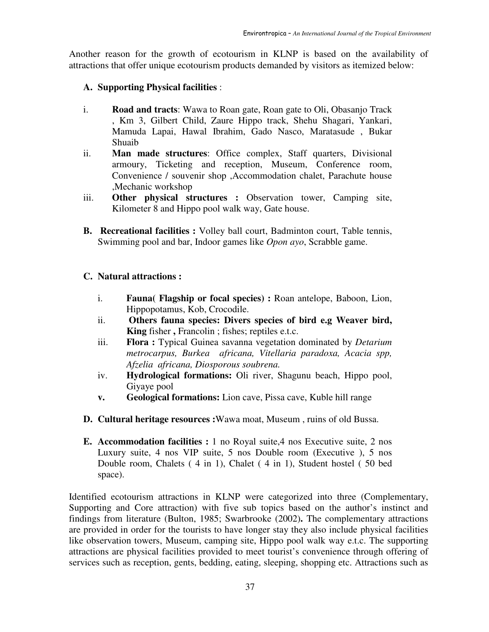Another reason for the growth of ecotourism in KLNP is based on the availability of attractions that offer unique ecotourism products demanded by visitors as itemized below:

# **A. Supporting Physical facilities** :

- i. **Road and tracts**: Wawa to Roan gate, Roan gate to Oli, Obasanjo Track , Km 3, Gilbert Child, Zaure Hippo track, Shehu Shagari, Yankari, Mamuda Lapai, Hawal Ibrahim, Gado Nasco, Maratasude , Bukar Shuaib
- ii. **Man made structures**: Office complex, Staff quarters, Divisional armoury, Ticketing and reception, Museum, Conference room, Convenience / souvenir shop ,Accommodation chalet, Parachute house ,Mechanic workshop
- iii. **Other physical structures :** Observation tower, Camping site, Kilometer 8 and Hippo pool walk way, Gate house.
- **B. Recreational facilities :** Volley ball court, Badminton court, Table tennis, Swimming pool and bar, Indoor games like *Opon ayo*, Scrabble game.

# **C. Natural attractions :**

- i. **Fauna( Flagship or focal species) :** Roan antelope, Baboon, Lion, Hippopotamus, Kob, Crocodile.
- ii. **Others fauna species: Divers species of bird e.g Weaver bird, King** fisher **,** Francolin ; fishes; reptiles e.t.c.
- iii. **Flora :** Typical Guinea savanna vegetation dominated by *Detarium metrocarpus, Burkea africana, Vitellaria paradoxa, Acacia spp, Afzelia africana, Diosporous soubrena.*
- iv. **Hydrological formations:** Oli river, Shagunu beach, Hippo pool, Giyaye pool
- **v. Geological formations:** Lion cave, Pissa cave, Kuble hill range
- **D. Cultural heritage resources :**Wawa moat, Museum , ruins of old Bussa.
- **E. Accommodation facilities :** 1 no Royal suite,4 nos Executive suite, 2 nos Luxury suite, 4 nos VIP suite, 5 nos Double room (Executive ), 5 nos Double room, Chalets ( 4 in 1), Chalet ( 4 in 1), Student hostel ( 50 bed space).

Identified ecotourism attractions in KLNP were categorized into three (Complementary, Supporting and Core attraction) with five sub topics based on the author's instinct and findings from literature (Bulton, 1985; Swarbrooke (2002)**.** The complementary attractions are provided in order for the tourists to have longer stay they also include physical facilities like observation towers, Museum, camping site, Hippo pool walk way e.t.c. The supporting attractions are physical facilities provided to meet tourist's convenience through offering of services such as reception, gents, bedding, eating, sleeping, shopping etc. Attractions such as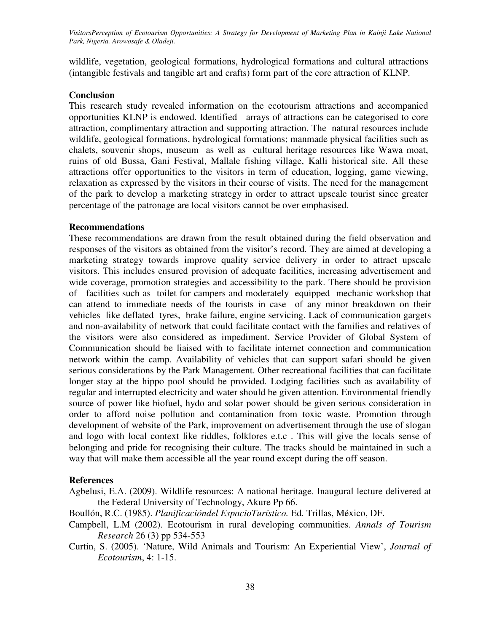wildlife, vegetation, geological formations, hydrological formations and cultural attractions (intangible festivals and tangible art and crafts) form part of the core attraction of KLNP.

### **Conclusion**

This research study revealed information on the ecotourism attractions and accompanied opportunities KLNP is endowed. Identified arrays of attractions can be categorised to core attraction, complimentary attraction and supporting attraction. The natural resources include wildlife, geological formations, hydrological formations; manmade physical facilities such as chalets, souvenir shops, museum as well as cultural heritage resources like Wawa moat, ruins of old Bussa, Gani Festival, Mallale fishing village, Kalli historical site. All these attractions offer opportunities to the visitors in term of education, logging, game viewing, relaxation as expressed by the visitors in their course of visits. The need for the management of the park to develop a marketing strategy in order to attract upscale tourist since greater percentage of the patronage are local visitors cannot be over emphasised.

## **Recommendations**

These recommendations are drawn from the result obtained during the field observation and responses of the visitors as obtained from the visitor's record. They are aimed at developing a marketing strategy towards improve quality service delivery in order to attract upscale visitors. This includes ensured provision of adequate facilities, increasing advertisement and wide coverage, promotion strategies and accessibility to the park. There should be provision of facilities such as toilet for campers and moderately equipped mechanic workshop that can attend to immediate needs of the tourists in case of any minor breakdown on their vehicles like deflated tyres, brake failure, engine servicing. Lack of communication gargets and non-availability of network that could facilitate contact with the families and relatives of the visitors were also considered as impediment. Service Provider of Global System of Communication should be liaised with to facilitate internet connection and communication network within the camp. Availability of vehicles that can support safari should be given serious considerations by the Park Management. Other recreational facilities that can facilitate longer stay at the hippo pool should be provided. Lodging facilities such as availability of regular and interrupted electricity and water should be given attention. Environmental friendly source of power like biofuel, hydo and solar power should be given serious consideration in order to afford noise pollution and contamination from toxic waste. Promotion through development of website of the Park, improvement on advertisement through the use of slogan and logo with local context like riddles, folklores e.t.c . This will give the locals sense of belonging and pride for recognising their culture. The tracks should be maintained in such a way that will make them accessible all the year round except during the off season.

## **References**

Agbelusi, E.A. (2009). Wildlife resources: A national heritage. Inaugural lecture delivered at the Federal University of Technology, Akure Pp 66.

Boullón, R.C. (1985). *Planificacióndel EspacioTurístico.* Ed. Trillas, México, DF.

- Campbell, L.M (2002). Ecotourism in rural developing communities. *Annals of Tourism Research* 26 (3) pp 534-553
- Curtin, S. (2005). 'Nature, Wild Animals and Tourism: An Experiential View', *Journal of Ecotourism*, 4: 1-15.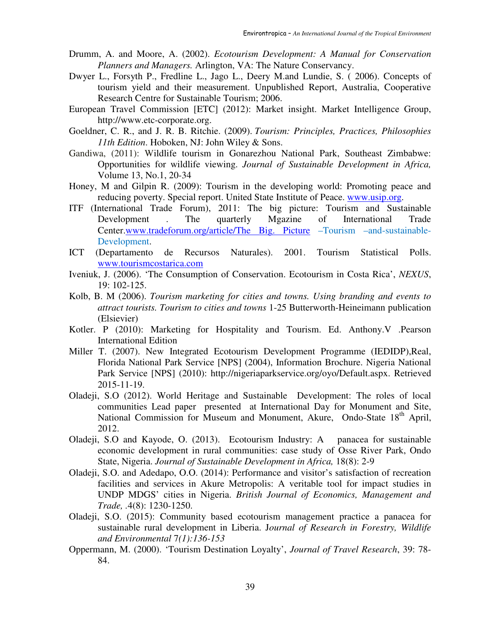- Drumm, A. and Moore, A. (2002). *Ecotourism Development: A Manual for Conservation Planners and Managers.* Arlington, VA: The Nature Conservancy.
- Dwyer L., Forsyth P., Fredline L., Jago L., Deery M.and Lundie, S. ( 2006). Concepts of tourism yield and their measurement. Unpublished Report, Australia, Cooperative Research Centre for Sustainable Tourism; 2006.
- European Travel Commission [ETC] (2012): Market insight. Market Intelligence Group, http://www.etc-corporate.org.
- Goeldner, C. R., and J. R. B. Ritchie. (2009). *Tourism: Principles, Practices, Philosophies 11th Edition*. Hoboken, NJ: John Wiley & Sons.
- Gandiwa, (2011): Wildlife tourism in Gonarezhou National Park, Southeast Zimbabwe: Opportunities for wildlife viewing. *Journal of Sustainable Development in Africa,* Volume 13, No.1, 20-34
- Honey, M and Gilpin R. (2009): Tourism in the developing world: Promoting peace and reducing poverty. Special report. United State Institute of Peace. www.usip.org.
- ITF (International Trade Forum), 2011: The big picture: Tourism and Sustainable Development . The quarterly Mgazine of International Trade Center.www.tradeforum.org/article/The Big. Picture –Tourism –and-sustainable-Development.
- ICT (Departamento de Recursos Naturales). 2001. Tourism Statistical Polls. www.tourismcostarica.com
- Iveniuk, J. (2006). 'The Consumption of Conservation. Ecotourism in Costa Rica', *NEXUS*, 19: 102-125.
- Kolb, B. M (2006). *Tourism marketing for cities and towns. Using branding and events to attract tourists. Tourism to cities and towns* 1-25 Butterworth-Heineimann publication (Elsievier)
- Kotler. P (2010): Marketing for Hospitality and Tourism. Ed. Anthony.V .Pearson International Edition
- Miller T. (2007). New Integrated Ecotourism Development Programme (IEDIDP),Real, Florida National Park Service [NPS] (2004), Information Brochure. Nigeria National Park Service [NPS] (2010): http://nigeriaparkservice.org/oyo/Default.aspx. Retrieved 2015-11-19.
- Oladeji, S.O (2012). World Heritage and Sustainable Development: The roles of local communities Lead paper presented at International Day for Monument and Site, National Commission for Museum and Monument, Akure, Ondo-State 18<sup>th</sup> April, 2012.
- Oladeji, S.O and Kayode, O. (2013). Ecotourism Industry: A panacea for sustainable economic development in rural communities: case study of Osse River Park, Ondo State, Nigeria. *Journal of Sustainable Development in Africa,* 18(8): 2-9
- Oladeji, S.O. and Adedapo, O.O. (2014): Performance and visitor's satisfaction of recreation facilities and services in Akure Metropolis: A veritable tool for impact studies in UNDP MDGS' cities in Nigeria. *British Journal of Economics, Management and Trade, .*4(8): 1230-1250.
- Oladeji, S.O. (2015): Community based ecotourism management practice a panacea for sustainable rural development in Liberia. J*ournal of Research in Forestry, Wildlife and Environmental* 7*(1):136-153*
- Oppermann, M. (2000). 'Tourism Destination Loyalty', *Journal of Travel Research*, 39: 78- 84.